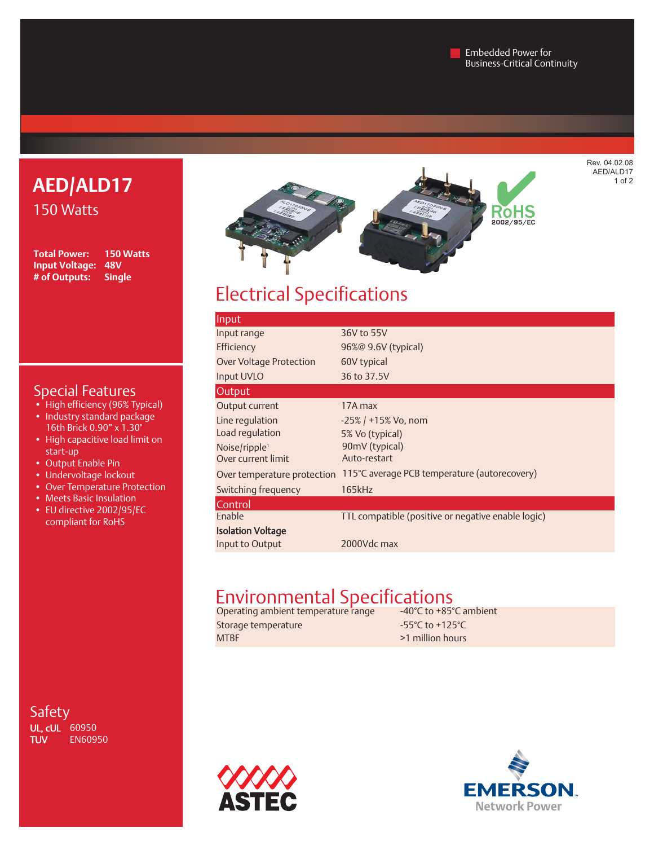Embedded Power for Business-Critical Continuity

## **AED/ALD17** 150 Watts

**Total Power: 150 Watts Input Voltage: 48V # of Outputs: Single**

## Special Features

- High efficiency (96% Typical) • Industry standard package
- 16th Brick 0.90" x 1.30" • High capacitive load limit on start-up
- Output Enable Pin
- Undervoltage lockout
- Over Temperature Protection
- Meets Basic Insulation
- EU directive 2002/95/EC compliant for RoHS

Safety **UL, cUL** 60950<br>TUV EN609! **EN60950** 



# Electrical Specifications

| Input                       |                                                    |
|-----------------------------|----------------------------------------------------|
| Input range                 | 36V to 55V                                         |
| Efficiency                  | 96%@ 9.6V (typical)                                |
| Over Voltage Protection     | 60V typical                                        |
| <b>Input UVLO</b>           | 36 to 37.5V                                        |
| Output                      |                                                    |
| Output current              | 17A max                                            |
| Line regulation             | $-25\%$ / +15% Vo, nom                             |
| Load regulation             | 5% Vo (typical)                                    |
| Noise/ripple <sup>1</sup>   | 90mV (typical)                                     |
| Over current limit          | Auto-restart                                       |
| Over temperature protection | 115°C average PCB temperature (autorecovery)       |
| Switching frequency         | 165kHz                                             |
| Control                     |                                                    |
| Enable                      | TTL compatible (positive or negative enable logic) |
| <b>Isolation Voltage</b>    |                                                    |
| Input to Output             | 2000Vdc max                                        |
|                             |                                                    |

## Environmental Specifications

Operating ambient temperature range  $\qquad \qquad$  -40°C to +85°C ambient Storage temperature  $-55^{\circ}$ C to +125°C

MTBF >1 million hours